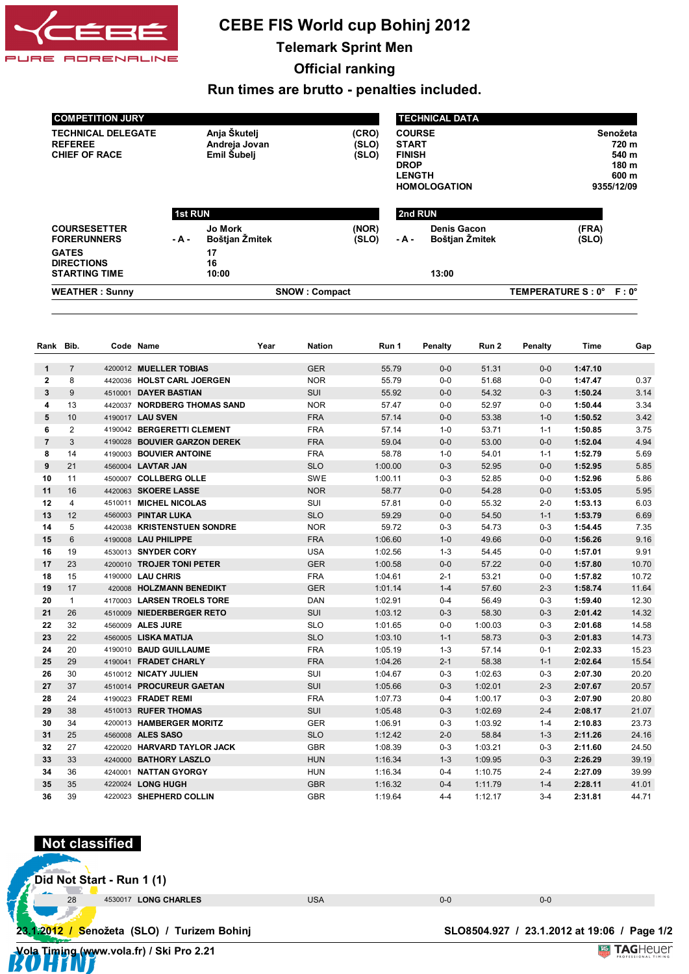

## **CEBE FIS World cup Bohinj 2012**

**Telemark Sprint Men**

**Official ranking**

**Run times are brutto - penalties included.**

| <b>COMPETITION JURY</b>                                             |                                                                         |                                  |                                                                                                       |         | <b>TECHNICAL DATA</b>                                      |                         |  |
|---------------------------------------------------------------------|-------------------------------------------------------------------------|----------------------------------|-------------------------------------------------------------------------------------------------------|---------|------------------------------------------------------------|-------------------------|--|
| <b>TECHNICAL DELEGATE</b><br><b>REFEREE</b><br><b>CHIEF OF RACE</b> | Anja Škutelj<br>(CRO)<br>Andreja Jovan<br>(SLO)<br>Emil Subelj<br>(SLO) |                                  | <b>COURSE</b><br><b>START</b><br><b>FINISH</b><br><b>DROP</b><br><b>LENGTH</b><br><b>HOMOLOGATION</b> |         | Senožeta<br>720 m<br>540 m<br>180 m<br>600 m<br>9355/12/09 |                         |  |
|                                                                     | <b>1st RUN</b>                                                          |                                  |                                                                                                       | 2nd RUN |                                                            |                         |  |
| <b>COURSESETTER</b><br><b>FORERUNNERS</b>                           | $-A -$                                                                  | <b>Jo Mork</b><br>Boštjan Žmitek | (NOR)<br>(SLO)                                                                                        | $-A -$  | <b>Denis Gacon</b><br>Boštjan Žmitek                       | (FRA)<br>(SLO)          |  |
| <b>GATES</b><br><b>DIRECTIONS</b><br><b>STARTING TIME</b>           |                                                                         | 17<br>16<br>10:00                |                                                                                                       |         | 13:00                                                      |                         |  |
| <b>WEATHER: Sunny</b>                                               |                                                                         |                                  | <b>SNOW: Compact</b>                                                                                  |         |                                                            | TEMPERATURE S: 0° F: 0° |  |

| Rank Bib.      |                | Code Name                    | Year | <b>Nation</b> | Run 1   | Penalty | Run 2   | Penalty | <b>Time</b> | Gap   |
|----------------|----------------|------------------------------|------|---------------|---------|---------|---------|---------|-------------|-------|
| $\mathbf{1}$   | $\overline{7}$ | 4200012 MUELLER TOBIAS       |      | <b>GER</b>    | 55.79   | $0-0$   | 51.31   | $0-0$   | 1:47.10     |       |
| $\overline{2}$ | 8              | 4420036 HOLST CARL JOERGEN   |      | <b>NOR</b>    | 55.79   | $0-0$   | 51.68   | $0-0$   | 1:47.47     | 0.37  |
| 3              | 9              | 4510001 DAYER BASTIAN        |      | SUI           | 55.92   | $0-0$   | 54.32   | $0 - 3$ | 1:50.24     | 3.14  |
| 4              | 13             | 4420037 NORDBERG THOMAS SAND |      | <b>NOR</b>    | 57.47   | $0-0$   | 52.97   | $0-0$   | 1:50.44     | 3.34  |
| 5              | 10             | 4190017 LAU SVEN             |      | <b>FRA</b>    | 57.14   | $0-0$   | 53.38   | $1 - 0$ | 1:50.52     | 3.42  |
| 6              | 2              | 4190042 BERGERETTI CLEMENT   |      | <b>FRA</b>    | 57.14   | $1 - 0$ | 53.71   | $1 - 1$ | 1:50.85     | 3.75  |
| $\overline{7}$ | 3              | 4190028 BOUVIER GARZON DEREK |      | <b>FRA</b>    | 59.04   | $0-0$   | 53.00   | $0-0$   | 1:52.04     | 4.94  |
| 8              | 14             | 4190003 BOUVIER ANTOINE      |      | <b>FRA</b>    | 58.78   | $1 - 0$ | 54.01   | $1 - 1$ | 1:52.79     | 5.69  |
| 9              | 21             | 4560004 <b>LAVTAR JAN</b>    |      | <b>SLO</b>    | 1:00.00 | $0 - 3$ | 52.95   | $0-0$   | 1:52.95     | 5.85  |
| 10             | 11             | 4500007 COLLBERG OLLE        |      | <b>SWE</b>    | 1:00.11 | $0 - 3$ | 52.85   | $0-0$   | 1:52.96     | 5.86  |
| 11             | 16             | 4420063 SKOERE LASSE         |      | <b>NOR</b>    | 58.77   | $0-0$   | 54.28   | $0-0$   | 1:53.05     | 5.95  |
| 12             | 4              | 4510011 MICHEL NICOLAS       |      | <b>SUI</b>    | 57.81   | $0-0$   | 55.32   | $2 - 0$ | 1:53.13     | 6.03  |
| 13             | 12             | 4560003 PINTAR LUKA          |      | <b>SLO</b>    | 59.29   | $0-0$   | 54.50   | $1 - 1$ | 1:53.79     | 6.69  |
| 14             | 5              | 4420038 KRISTENSTUEN SONDRE  |      | <b>NOR</b>    | 59.72   | $0 - 3$ | 54.73   | $0-3$   | 1:54.45     | 7.35  |
| 15             | 6              | 4190008 LAU PHILIPPE         |      | <b>FRA</b>    | 1:06.60 | $1 - 0$ | 49.66   | $0-0$   | 1:56.26     | 9.16  |
| 16             | 19             | 4530013 SNYDER CORY          |      | <b>USA</b>    | 1:02.56 | $1 - 3$ | 54.45   | $0-0$   | 1:57.01     | 9.91  |
| 17             | 23             | 4200010 TROJER TONI PETER    |      | <b>GER</b>    | 1:00.58 | $0-0$   | 57.22   | $0-0$   | 1:57.80     | 10.70 |
| 18             | 15             | 4190000 LAU CHRIS            |      | <b>FRA</b>    | 1:04.61 | $2 - 1$ | 53.21   | $0-0$   | 1:57.82     | 10.72 |
| 19             | 17             | 420008 HOLZMANN BENEDIKT     |      | <b>GER</b>    | 1:01.14 | $1 - 4$ | 57.60   | $2 - 3$ | 1:58.74     | 11.64 |
| 20             | $\mathbf{1}$   | 4170003 LARSEN TROELS TORE   |      | <b>DAN</b>    | 1:02.91 | $0-4$   | 56.49   | $0-3$   | 1:59.40     | 12.30 |
| 21             | 26             | 4510009 NIEDERBERGER RETO    |      | SUI           | 1:03.12 | $0 - 3$ | 58.30   | $0 - 3$ | 2:01.42     | 14.32 |
| 22             | 32             | 4560009 ALES JURE            |      | <b>SLO</b>    | 1:01.65 | $0-0$   | 1:00.03 | $0 - 3$ | 2:01.68     | 14.58 |
| 23             | 22             | 4560005 LISKA MATIJA         |      | <b>SLO</b>    | 1:03.10 | $1 - 1$ | 58.73   | $0 - 3$ | 2:01.83     | 14.73 |
| 24             | 20             | 4190010 BAUD GUILLAUME       |      | <b>FRA</b>    | 1:05.19 | $1 - 3$ | 57.14   | $0 - 1$ | 2:02.33     | 15.23 |
| 25             | 29             | 4190041 FRADET CHARLY        |      | <b>FRA</b>    | 1:04.26 | $2 - 1$ | 58.38   | $1 - 1$ | 2:02.64     | 15.54 |
| 26             | 30             | 4510012 NICATY JULIEN        |      | SUI           | 1:04.67 | $0-3$   | 1:02.63 | $0-3$   | 2:07.30     | 20.20 |
| 27             | 37             | 4510014 PROCUREUR GAETAN     |      | SUI           | 1:05.66 | $0 - 3$ | 1:02.01 | $2 - 3$ | 2:07.67     | 20.57 |
| 28             | 24             | 4190023 FRADET REMI          |      | <b>FRA</b>    | 1:07.73 | $0 - 4$ | 1:00.17 | $0 - 3$ | 2:07.90     | 20.80 |
| 29             | 38             | 4510013 RUFER THOMAS         |      | SUI           | 1:05.48 | $0 - 3$ | 1:02.69 | $2 - 4$ | 2:08.17     | 21.07 |
| 30             | 34             | 4200013 HAMBERGER MORITZ     |      | <b>GER</b>    | 1:06.91 | $0-3$   | 1:03.92 | $1 - 4$ | 2:10.83     | 23.73 |
| 31             | 25             | 4560008 ALES SASO            |      | <b>SLO</b>    | 1:12.42 | $2 - 0$ | 58.84   | $1 - 3$ | 2:11.26     | 24.16 |
| 32             | 27             | 4220020 HARVARD TAYLOR JACK  |      | <b>GBR</b>    | 1:08.39 | $0 - 3$ | 1:03.21 | $0-3$   | 2:11.60     | 24.50 |
| 33             | 33             | 4240000 BATHORY LASZLO       |      | <b>HUN</b>    | 1:16.34 | $1 - 3$ | 1:09.95 | $0 - 3$ | 2:26.29     | 39.19 |
| 34             | 36             | 4240001 NATTAN GYORGY        |      | <b>HUN</b>    | 1:16.34 | $0 - 4$ | 1:10.75 | $2 - 4$ | 2:27.09     | 39.99 |
| 35             | 35             | 4220024 LONG HUGH            |      | <b>GBR</b>    | 1:16.32 | $0 - 4$ | 1:11.79 | $1 - 4$ | 2:28.11     | 41.01 |
| 36             | 39             | 4220023 SHEPHERD COLLIN      |      | <b>GBR</b>    | 1:19.64 | $4 - 4$ | 1:12.17 | $3 - 4$ | 2:31.81     | 44.71 |

## **SLO8504.927 / 23.1.2012 at 19:06 / Page 1/2<br>
<b>VOLAGE TAGHELIET Vola Timing (www.vola.fr) / Ski Pro 2.21** 23.1.2012 / Senožeta (SLO) / Turizem Bohinj  **Not classified Did Not Start - Run 1 (1)** 28 4530017 **LONG CHARLES** USA 0-0 0-0